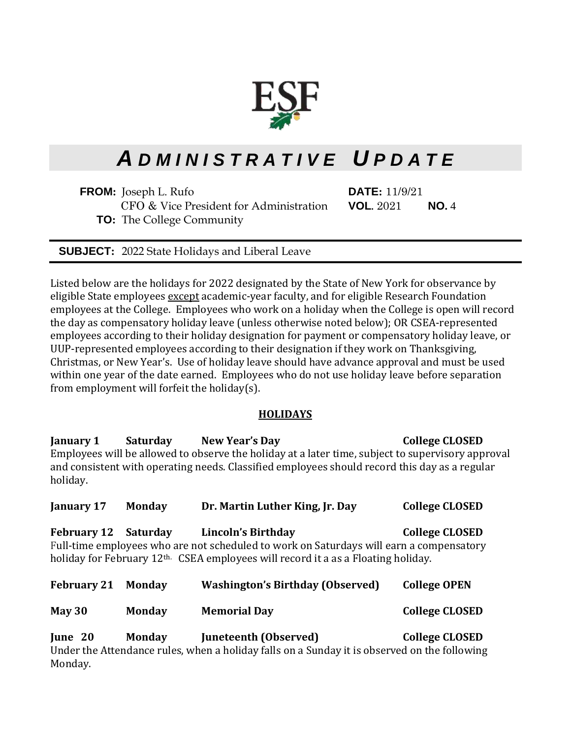

# *A D M I N I S T R A T I V E U P D A T E*

**FROM:** Joseph L. Rufo **DATE:** 11/9/21 CFO & Vice President for Administration **VOL.** 2021 **NO.** 4 **TO:** The College Community

**SUBJECT:** 2022 State Holidays and Liberal Leave

Listed below are the holidays for 2022 designated by the State of New York for observance by eligible State employees except academic-year faculty, and for eligible Research Foundation employees at the College. Employees who work on a holiday when the College is open will record the day as compensatory holiday leave (unless otherwise noted below); OR CSEA-represented employees according to their holiday designation for payment or compensatory holiday leave, or UUP-represented employees according to their designation if they work on Thanksgiving, Christmas, or New Year's. Use of holiday leave should have advance approval and must be used within one year of the date earned. Employees who do not use holiday leave before separation from employment will forfeit the holiday(s).

## **HOLIDAYS**

**January 1 Saturday New Year's Day College CLOSED**  Employees will be allowed to observe the holiday at a later time, subject to supervisory approval and consistent with operating needs. Classified employees should record this day as a regular holiday.

| January 17                  | <b>Monday</b> | Dr. Martin Luther King, Jr. Day                                                                                                                                                                                | <b>College CLOSED</b> |
|-----------------------------|---------------|----------------------------------------------------------------------------------------------------------------------------------------------------------------------------------------------------------------|-----------------------|
| <b>February 12 Saturday</b> |               | Lincoln's Birthday<br>Full-time employees who are not scheduled to work on Saturdays will earn a compensatory<br>holiday for February 12 <sup>th.</sup> CSEA employees will record it a as a Floating holiday. | <b>College CLOSED</b> |
| <b>February 21</b>          | <b>Monday</b> | <b>Washington's Birthday (Observed)</b>                                                                                                                                                                        | <b>College OPEN</b>   |
| May $30$                    | <b>Monday</b> | <b>Memorial Day</b>                                                                                                                                                                                            | <b>College CLOSED</b> |
| June 20                     | <b>Monday</b> | Juneteenth (Observed)                                                                                                                                                                                          | <b>College CLOSED</b> |

Under the Attendance rules, when a holiday falls on a Sunday it is observed on the following Monday.